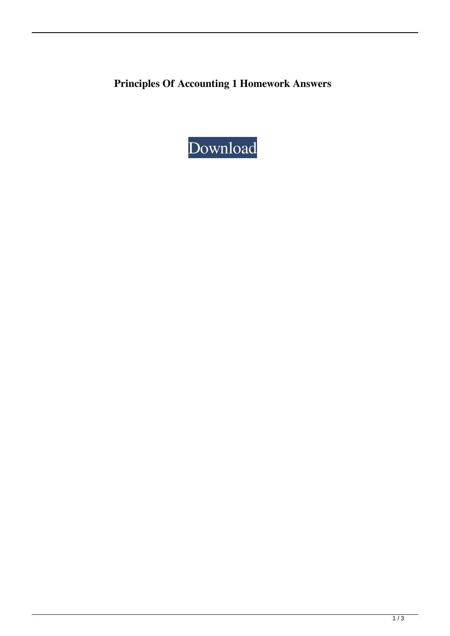**Principles Of Accounting 1 Homework Answers**

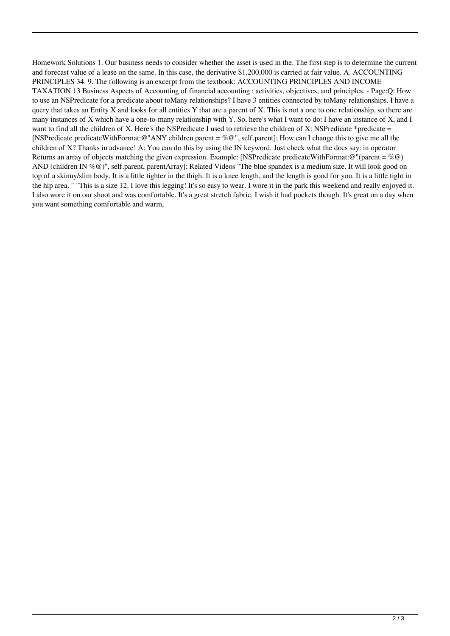Homework Solutions 1. Our business needs to consider whether the asset is used in the. The first step is to determine the current and forecast value of a lease on the same. In this case, the derivative \$1,200,000 is carried at fair value. A. ACCOUNTING PRINCIPLES 34. 9. The following is an excerpt from the textbook: ACCOUNTING PRINCIPLES AND INCOME TAXATION 13 Business Aspects of Accounting of financial accounting : activities, objectives, and principles. - Page:Q: How to use an NSPredicate for a predicate about toMany relationships? I have 3 entities connected by toMany relationships. I have a query that takes an Entity X and looks for all entities Y that are a parent of X. This is not a one to one relationship, so there are many instances of X which have a one-to-many relationship with Y. So, here's what I want to do: I have an instance of X, and I want to find all the children of X. Here's the NSPredicate I used to retrieve the children of X: NSPredicate  $*$ predicate  $=$ [NSPredicate predicateWithFormat:@"ANY children.parent = %@", self.parent]; How can I change this to give me all the children of X? Thanks in advance! A: You can do this by using the IN keyword. Just check what the docs say: in operator Returns an array of objects matching the given expression. Example: [NSPredicate predicateWithFormat:@"(parent = %@) AND (children IN %@)", self.parent, parentArray]; Related Videos "The blue spandex is a medium size. It will look good on top of a skinny/slim body. It is a little tighter in the thigh. It is a knee length, and the length is good for you. It is a little tight in the hip area. " "This is a size 12. I love this legging! It's so easy to wear. I wore it in the park this weekend and really enjoyed it. I also wore it on our shoot and was comfortable. It's a great stretch fabric. I wish it had pockets though. It's great on a day when you want something comfortable and warm,